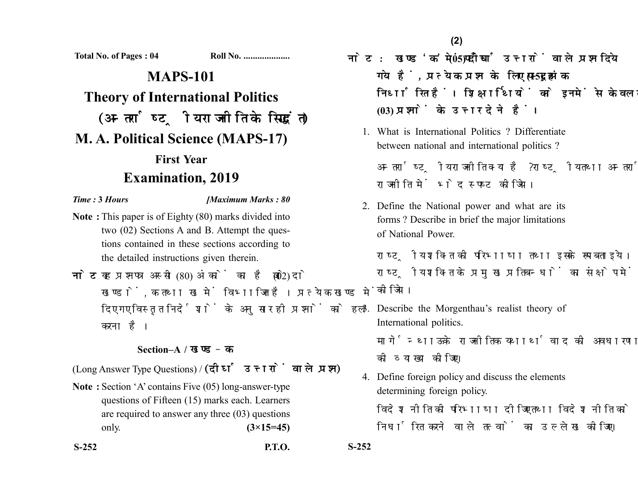**Total No. of Pages : 04 Roll No. ....................**

# **MAPS-101 Theory of International Politics** (अन्तर्राष्ट्रीय राजनीति के सिद्धांत) **M. A. Political Science (MAPS-17) First Year Examination, 2019**

### *Time :* **3** *Hours [Maximum Marks : 80*

- **Note :** This paper is of Eighty (80) marks divided into two (02) Sections A and B. Attempt the questions contained in these sections according to the detailed instructions given therein.
- नोट: यह प्रश्नपत्र अस्सी (80) अंकों का है जो दो (02) खण्डों. क तथा ख में विभाजित है। प्रत्येक खण्ड में दिए गए विस्तृत निर्देशों के अनुसार ही प्रश्नों को हल करना है।

## **Section–A /**

(Long Answer Type Questions) / (दीर्घ उत्तरों वाले प्रश्न)

**Note :** Section 'A' contains Five (05) long-answer-type questions of Fifteen (15) marks each. Learners are required to answer any three (03) questions only. **(3×15=45)** नोट: खण्ड 'क' में पाँच (05) दीर्घ उत्तरों वाले प्रश्न दिये गये हैं, प्रत्येक प्रश्न के लिए पन्दह (15) अंक निर्धारित हैं। शिक्षार्थियों को इनमें से केवल तीन **(03)** 

1. What is International Politics ? Differentiate between national and international politics ?

अन्तर्राष्ट्रीय राजनीति क्या है ? राष्ट्रीय तथा अन्तर्राष्ट्रीय राजनीति में भेद स्पष्ट कीजिये।

2. Define the National power and what are its forms ? Describe in brief the major limitations of National Power.

राष्टीय शक्ति की परिभाषा तथा इसके रूप बताइये। राष्ट्रीय शक्ति के प्रमुख प्रतिबन्धों का संक्षेप में वर्णन कोजिये।

3. Describe the Morgenthau's realist theory of International politics.

मार्गेन्थाऊ के राजनीतिक यथार्थवाद की अवधारणा को व्याख्या कोजिए।

4. Define foreign policy and discuss the elements determining foreign policy. विदेश नीति की परिभाषा दीजिए तथा विदेश नीति को निर्धारित करने वाले तत्वों का उल्लेख कीजिए।

**S-252 P.T.O. S-252**